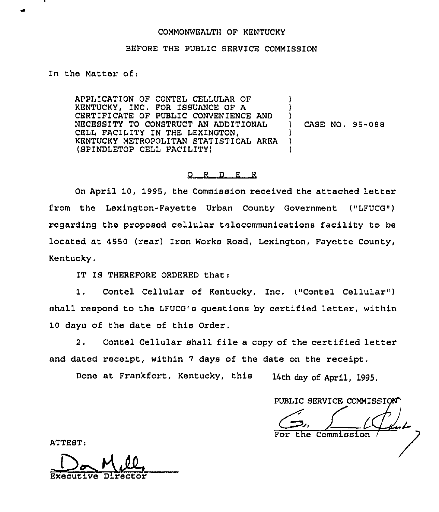### COMMONWEALTH OF KENTUCKY

#### BEFORE THE PUBLIC SERVICE COMMISSION

In the Matter of  $($ 

APPLICATION OF CONTEL CELLULAR OF KENTUCKY, INC, FOR ISSUANCE OF A CERTIFICATE OF PUBLIC CONVENIENCE AND NECESSITY TO CONSTRUCT AN ADDITIONAL CELL FAC1LITY IN THE LEXINGTON, KENTUCKY METROPOLITAN STATISTICAL AREA (SPINDLETOP CELL FAC1LITY) ) ) ) ) CASE NO, 95-088 ) ) )

### 0 <sup>R</sup> <sup>D</sup> E <sup>R</sup>

On April 10, 1995, the Commission received the attached letter from the Lexington-Fayette Urban County Government ("LFUCG") regarding the proposed cellular telecommunications facility to be located at 4550 (rear) Iron Works Road, Lexington, Fayette County, Kentucky.

IT IS THEREFORE ORDERED that:

Contel Cellular of Kentucky, Inc. ("Contel Cellular")  $1.$ shall respond to the LFUCG's questions by certified letter, within 10 days of the date of this Order.

2, Contel Cellular shall file a copy of the certified letter and dated receipt, within 7 days of the date on the receipt.

Done at Frankfort, Kentucky, this 14th day of April, 1995.

PUBLIC SERVICE COMMISSION the Commission

ATTEST:

Executive Dire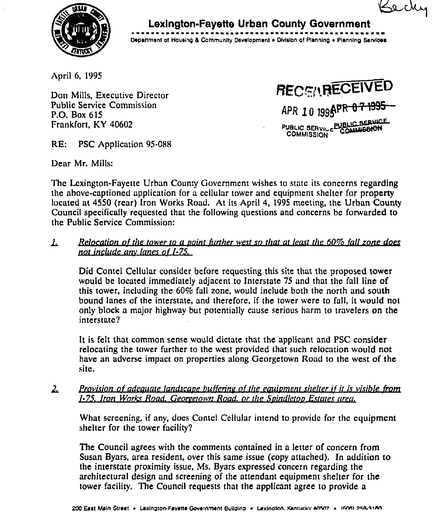Bechy



## Lexington-Fayette Urban County Government

Department of Housing & Community Development . Division of Planning . Planning Services

April 6, 1995

Don Mills, Executive Director Public Service Commission P.O. Box 615 Frankfort, KY 40602

RE: PSC Application 95-088

Dear Mr. Mills:



Thc Lexington-Fayette Urban County Governmcm wishes to state its concerns regarding the above-captioned application for a cellular tower and equipment shelter for property located at 4550 (rear} Iron Works Road. At its April 4, 1995 meeting, the Urban County Council specifically requested that the following questions and concerns be forwarded to the Public Service Commission:

T Relocation of the tower to a point further west so that at least the 60% fall zone does not include anv lanes of 1-75.

Did Contel Cellular consider before requesting this site that the proposed tower would be located immediately adjacent to Interstate 75 and that the fall line of this tower, including the 60% fall zone, wouid include both the north and south bound lanes of the interstate, and therefore, if the tower were to fall, it would not only block a major highway but potentially cause serious harm to travelers on the interstate?

It is felt that common sense would dictate that the applicam and PSC consider relocating the tower further to the west provided that such relocation would not have an adverse impact on properties along Georgetown Road to the west of the Site.

 $2<sub>1</sub>$ Provision of adeauate landscape buffering of the equipment shelter if it is visible from 1-75. Iron Works Road. Georgetown Road. or the Soindletoo Estates area.

What screening, if any, does Contel Cellular intend to provide for the equipment shelter for the tower facility?

The Council agrees with the comments contained in a letter of concern from Susan Byars, area resident, over this same issue (copy attached). In addition to the interstate proximity issue, Ms. Byars expressed concern regarding the architectural design and screening of the attendant equipment shelter for the tower facility. The Council requests that the applicant agree to provide a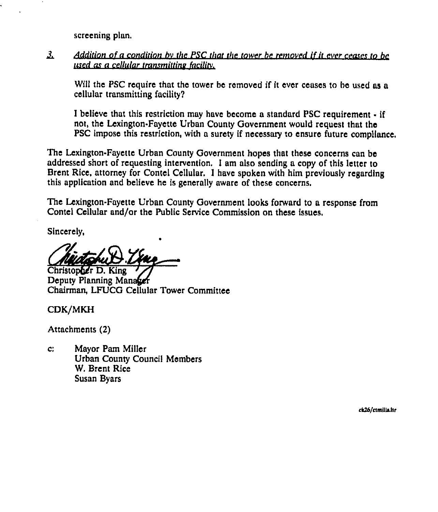screening plan.

 $\mathbf{r}$ Addition of a condition by the PSC that the tower be removed if it ever ceases to be used as a cellular transmitting facility.

Will the PSC require that the tower be removed if it ever ceases to be used as a cellular transmitting facility?

I believe that this restriction may have become a standard PSC requirement <sup>~</sup> if not, the Lexington-Fayette Urban County Government would request that the PSC impose this restriction, with a surety if necessary to ensure future compliance.

Thc Lexington-Fayctte Urban County Government hopes that these concerns can be addressed short of requesting intervention, i am also sending a copy of this letter to Brent Rice, attorney for Contel Cellular. I have spoken with him previously regarding this application and believe he is generally aware of these concerns.

The Lexington-Fayctte Urban County Government looks forward to a response from Contel Cellular and/or the Public Service Comndssion on these issues.

Sincerely,

Christopher D. King Deputy Planning Manager Chairman, LFUCG Cellular Tower Committee

CDK/MKH

Attachments (2)

Ci Mayor Pam Miller Urban County Council Members W, Brent Rice Susan Byars

ck26/ctmills.lir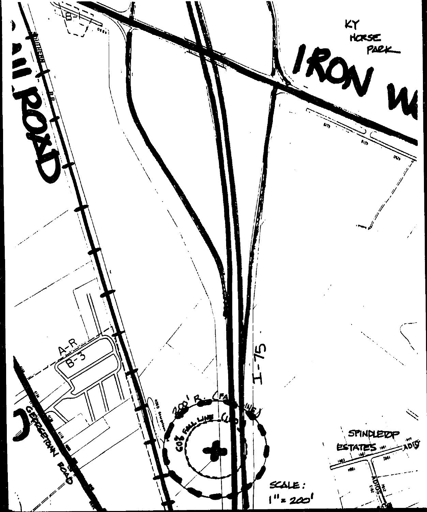